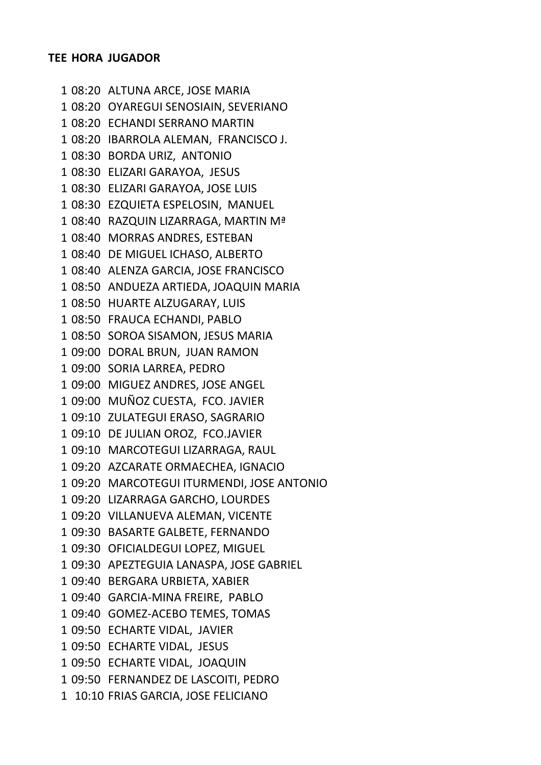08:20 ALTUNA ARCE, JOSE MARIA 08:20 OYAREGUI SENOSIAIN, SEVERIANO 08:20 ECHANDI SERRANO MARTIN 08:20 IBARROLA ALEMAN, FRANCISCO J. 08:30 BORDA URIZ, ANTONIO 08:30 ELIZARI GARAYOA, JESUS 08:30 ELIZARI GARAYOA, JOSE LUIS 08:30 EZQUIETA ESPELOSIN, MANUEL 08:40 RAZQUIN LIZARRAGA, MARTIN Mª 08:40 MORRAS ANDRES, ESTEBAN 08:40 DE MIGUEL ICHASO, ALBERTO 08:40 ALENZA GARCIA, JOSE FRANCISCO 08:50 ANDUEZA ARTIEDA, JOAQUIN MARIA 08:50 HUARTE ALZUGARAY, LUIS 08:50 FRAUCA ECHANDI, PABLO 08:50 SOROA SISAMON, JESUS MARIA 09:00 DORAL BRUN, JUAN RAMON 09:00 SORIA LARREA, PEDRO 09:00 MIGUEZ ANDRES, JOSE ANGEL 09:00 MUÑOZ CUESTA, FCO. JAVIER 09:10 ZULATEGUI ERASO, SAGRARIO 09:10 DE JULIAN OROZ, FCO.JAVIER 09:10 MARCOTEGUI LIZARRAGA, RAUL 09:20 AZCARATE ORMAECHEA, IGNACIO 09:20 MARCOTEGUI ITURMENDI, JOSE ANTONIO 09:20 LIZARRAGA GARCHO, LOURDES 09:20 VILLANUEVA ALEMAN, VICENTE 09:30 BASARTE GALBETE, FERNANDO 09:30 OFICIALDEGUI LOPEZ, MIGUEL 09:30 APEZTEGUIA LANASPA, JOSE GABRIEL 09:40 BERGARA URBIETA, XABIER 09:40 GARCIA-MINA FREIRE, PABLO 09:40 GOMEZ-ACEBO TEMES, TOMAS 09:50 ECHARTE VIDAL, JAVIER 09:50 ECHARTE VIDAL, JESUS 09:50 ECHARTE VIDAL, JOAQUIN 09:50 FERNANDEZ DE LASCOITI, PEDRO 10:10 FRIAS GARCIA, JOSE FELICIANO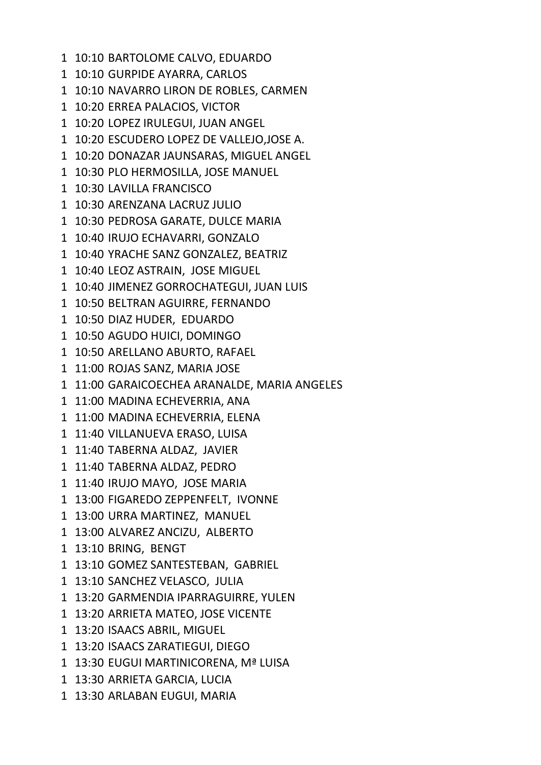- 10:10 BARTOLOME CALVO, EDUARDO
- 10:10 GURPIDE AYARRA, CARLOS
- 10:10 NAVARRO LIRON DE ROBLES, CARMEN
- 10:20 ERREA PALACIOS, VICTOR
- 10:20 LOPEZ IRULEGUI, JUAN ANGEL
- 10:20 ESCUDERO LOPEZ DE VALLEJO,JOSE A.
- 10:20 DONAZAR JAUNSARAS, MIGUEL ANGEL
- 10:30 PLO HERMOSILLA, JOSE MANUEL
- 10:30 LAVILLA FRANCISCO
- 10:30 ARENZANA LACRUZ JULIO
- 10:30 PEDROSA GARATE, DULCE MARIA
- 10:40 IRUJO ECHAVARRI, GONZALO
- 10:40 YRACHE SANZ GONZALEZ, BEATRIZ
- 10:40 LEOZ ASTRAIN, JOSE MIGUEL
- 10:40 JIMENEZ GORROCHATEGUI, JUAN LUIS
- 10:50 BELTRAN AGUIRRE, FERNANDO
- 10:50 DIAZ HUDER, EDUARDO
- 10:50 AGUDO HUICI, DOMINGO
- 10:50 ARELLANO ABURTO, RAFAEL
- 11:00 ROJAS SANZ, MARIA JOSE
- 11:00 GARAICOECHEA ARANALDE, MARIA ANGELES
- 11:00 MADINA ECHEVERRIA, ANA
- 11:00 MADINA ECHEVERRIA, ELENA
- 11:40 VILLANUEVA ERASO, LUISA
- 11:40 TABERNA ALDAZ, JAVIER
- 11:40 TABERNA ALDAZ, PEDRO
- 11:40 IRUJO MAYO, JOSE MARIA
- 13:00 FIGAREDO ZEPPENFELT, IVONNE
- 13:00 URRA MARTINEZ, MANUEL
- 13:00 ALVAREZ ANCIZU, ALBERTO
- 13:10 BRING, BENGT
- 13:10 GOMEZ SANTESTEBAN, GABRIEL
- 13:10 SANCHEZ VELASCO, JULIA
- 13:20 GARMENDIA IPARRAGUIRRE, YULEN
- 13:20 ARRIETA MATEO, JOSE VICENTE
- 13:20 ISAACS ABRIL, MIGUEL
- 13:20 ISAACS ZARATIEGUI, DIEGO
- 13:30 EUGUI MARTINICORENA, Mª LUISA
- 13:30 ARRIETA GARCIA, LUCIA
- 13:30 ARLABAN EUGUI, MARIA